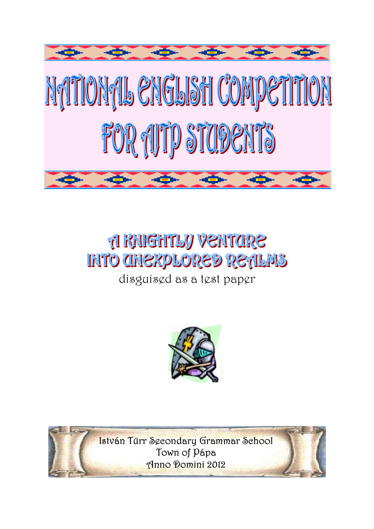

# **A RAIGHTLY VENTORE INTO CHIEXPLORED RETILMS**

disguised as a test paper



István Türr Secondary Grammar School Town of Pápa Anno Domini 2012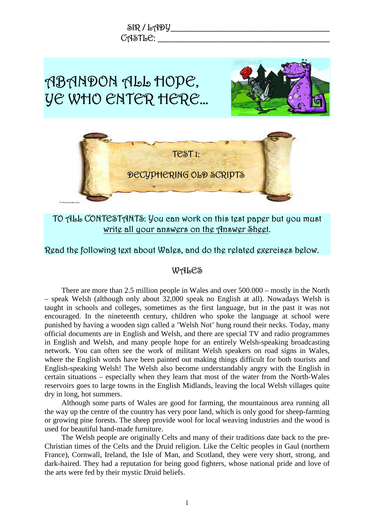

## write all your answers on the Answer Sheet.

Read the following text about Wales, and do the related exercises below.

#### WALES

There are more than 2.5 million people in Wales and over 500.000 – mostly in the North – speak Welsh (although only about 32,000 speak no English at all). Nowadays Welsh is taught in schools and colleges, sometimes as the first language, but in the past it was not encouraged. In the nineteenth century, children who spoke the language at school were punished by having a wooden sign called a 'Welsh Not' hung round their necks. Today, many official documents are in English and Welsh, and there are special TV and radio programmes in English and Welsh, and many people hope for an entirely Welsh-speaking broadcasting network. You can often see the work of militant Welsh speakers on road signs in Wales, where the English words have been painted out making things difficult for both tourists and English-speaking Welsh! The Welsh also become understandably angry with the English in certain situations – especially when they learn that most of the water from the North-Wales reservoirs goes to large towns in the English Midlands, leaving the local Welsh villages quite dry in long, hot summers.

Although some parts of Wales are good for farming, the mountainous area running all the way up the centre of the country has very poor land, which is only good for sheep-farming or growing pine forests. The sheep provide wool for local weaving industries and the wood is used for beautiful hand-made furniture.

The Welsh people are originally Celts and many of their traditions date back to the pre-Christian times of the Celts and the Druid religion. Like the Celtic peoples in Gaul (northern France), Cornwall, Ireland, the Isle of Man, and Scotland, they were very short, strong, and dark-haired. They had a reputation for being good fighters, whose national pride and love of the arts were fed by their mystic Druid beliefs.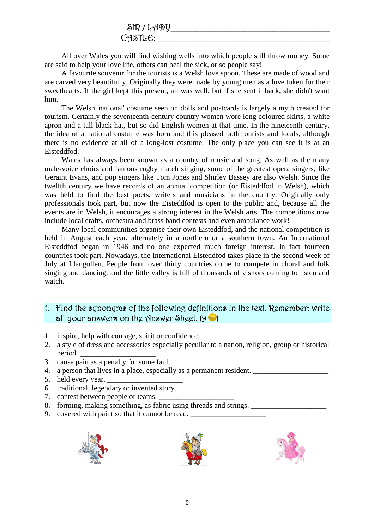#### SIR / LADY\_\_\_\_\_\_\_\_\_\_\_\_\_\_\_\_\_\_\_\_\_\_\_\_\_\_\_\_\_\_\_\_\_\_\_\_\_  $C$ ASTL $C$ :

All over Wales you will find wishing wells into which people still throw money. Some are said to help your love life, others can heal the sick, or so people say!

A favourite souvenir for the tourists is a Welsh love spoon. These are made of wood and are carved very beautifully. Originally they were made by young men as a love token for their sweethearts. If the girl kept this present, all was well, but if she sent it back, she didn't want him.

The Welsh 'national' costume seen on dolls and postcards is largely a myth created for tourism. Certainly the seventeenth-century country women wore long coloured skirts, a white apron and a tall black hat, but so did English women at that time. In the nineteenth century, the idea of a national costume was born and this pleased both tourists and locals, although there is no evidence at all of a long-lost costume. The only place you can see it is at an Eisteddfod.

Wales has always been known as a country of music and song. As well as the many male-voice choirs and famous rugby match singing, some of the greatest opera singers, like Geraint Evans, and pop singers like Tom Jones and Shirley Bassey are also Welsh. Since the twelfth century we have records of an annual competition (or Eisteddfod in Welsh), which was held to find the best poets, writers and musicians in the country. Originally only professionals took part, but now the Eisteddfod is open to the public and, because all the events are in Welsh, it encourages a strong interest in the Welsh arts. The competitions now include local crafts, orchestra and brass band contests and even ambulance work!

Many local communities organise their own Eisteddfod, and the national competition is held in August each year, alternately in a northern or a southern town. An International Eisteddfod began in 1946 and no one expected much foreign interest. In fact fourteen countries took part. Nowadays, the International Eisteddfod takes place in the second week of July at Llangollen. People from over thirty countries come to compete in choral and folk singing and dancing, and the little valley is full of thousands of visitors coming to listen and watch.

#### 1. Find the synonyms of the following definitions in the text. Remember: write all your answers on the Answer Sheet.  $(9 \bullet)$

- 1. inspire, help with courage, spirit or confidence.
- 2. a style of dress and accessories especially peculiar to a nation, religion, group or historical period.
- 3. cause pain as a penalty for some fault.
- 4. a person that lives in a place, especially as a permanent resident.
- 5. held every year.
- 6. traditional, legendary or invented story.  $\frac{1}{\sqrt{2\pi}}$
- 7. contest between people or teams.
- 8. forming, making something, as fabric using threads and strings. \_\_\_\_\_\_\_\_\_\_\_\_\_\_\_\_\_\_\_\_
- 9. covered with paint so that it cannot be read.





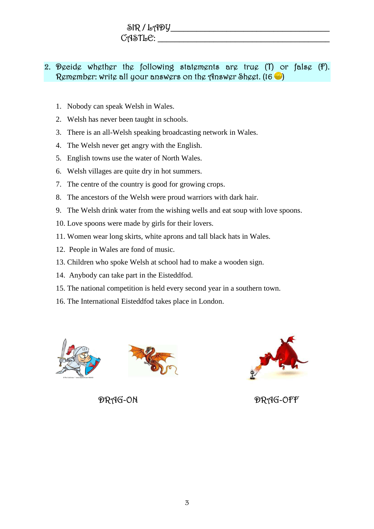### $SIR / L199$ CASTLE: \_\_\_\_\_\_\_\_\_\_\_\_\_\_\_\_\_\_\_\_\_\_\_\_\_\_\_\_\_\_\_\_\_\_\_\_\_\_\_\_

#### 2. Decide whether the following statements are true (T) or false (F). Remember: write all your answers on the Answer Sheet.  $(16 \ \bullet)$

- 1. Nobody can speak Welsh in Wales.
- 2. Welsh has never been taught in schools.
- 3. There is an all-Welsh speaking broadcasting network in Wales.
- 4. The Welsh never get angry with the English.
- 5. English towns use the water of North Wales.
- 6. Welsh villages are quite dry in hot summers.
- 7. The centre of the country is good for growing crops.
- 8. The ancestors of the Welsh were proud warriors with dark hair.
- 9. The Welsh drink water from the wishing wells and eat soup with love spoons.
- 10. Love spoons were made by girls for their lovers.
- 11. Women wear long skirts, white aprons and tall black hats in Wales.
- 12. People in Wales are fond of music.
- 13. Children who spoke Welsh at school had to make a wooden sign.
- 14. Anybody can take part in the Eisteddfod.
- 15. The national competition is held every second year in a southern town.
- 16. The International Eisteddfod takes place in London.







DRAG-ON DRAG-OFF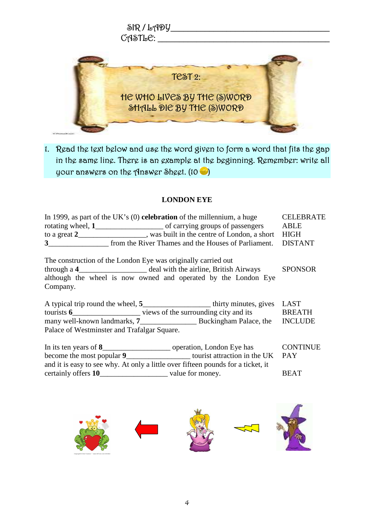

1. Read the text below and use the word given to form a word that fits the gap in the same line. There is an example at the beginning. Remember: write all your answers on the Answer Sheet.  $(10 \ \ \ \ \ \ )$ 

#### **LONDON EYE**

| In 1999, as part of the UK's $(0)$ celebration of the millennium, a huge<br>to a great 2__________________, was built in the centre of London, a short HIGH<br>3 from the River Thames and the Houses of Parliament.       | <b>CELEBRATE</b><br><b>DISTANT</b> |
|----------------------------------------------------------------------------------------------------------------------------------------------------------------------------------------------------------------------------|------------------------------------|
| The construction of the London Eye was originally carried out<br>through a 4_________________________ deal with the airline, British Airways<br>although the wheel is now owned and operated by the London Eye<br>Company. | <b>SPONSOR</b>                     |
| A typical trip round the wheel, 5________________________thirty minutes, gives LAST<br>Palace of Westminster and Trafalgar Square.                                                                                         |                                    |
| become the most popular 9_______________________ tourist attraction in the UK<br>and it is easy to see why. At only a little over fifteen pounds for a ticket, it                                                          | <b>CONTINUE</b><br><b>PAY</b>      |
|                                                                                                                                                                                                                            | <b>BEAT</b>                        |

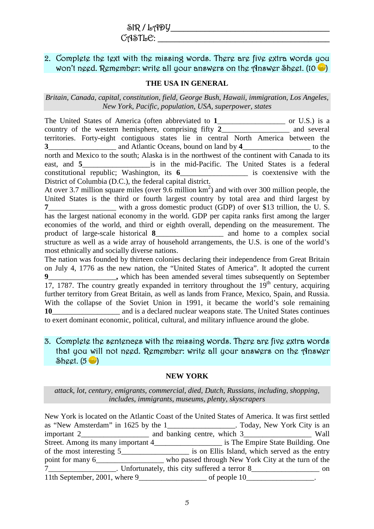#### 2. Complete the text with the missing words. There are five extra words you won't need. Remember: write all your answers on the Answer Sheet.  $(10 \bullet)$

#### **THE USA IN GENERAL**

#### *Britain, Canada, capital, constitution, field, George Bush, Hawaii, immigration, Los Angeles, New York, Pacific, population, USA, superpower, states*

The United States of America (often abbreviated to 1\_\_\_\_\_\_\_\_\_\_\_\_\_\_\_ or U.S.) is a country of the western hemisphere, comprising fifty 2 and several territories. Forty-eight contiguous states lie in central North America between the **3**\_\_\_\_\_\_\_\_\_\_\_\_\_\_\_\_\_\_ and Atlantic Oceans, bound on land by **4**\_\_\_\_\_\_\_\_\_\_\_\_\_\_\_\_\_\_ to the north and Mexico to the south; Alaska is in the northwest of the continent with Canada to its east, and 5 **is in the mid-Pacific.** The United States is a federal constitutional republic; Washington, its **6**\_\_\_\_\_\_\_\_\_\_\_\_\_\_\_\_\_\_ is coextensive with the District of Columbia (D.C.), the federal capital district. At over 3.7 million square miles (over 9.6 million  $km^2$ ) and with over 300 million people, the United States is the third or fourth largest country by total area and third largest by **7** with a gross domestic product (GDP) of over \$13 trillion, the U. S. has the largest national economy in the world. GDP per capita ranks first among the larger

economies of the world, and third or eighth overall, depending on the measurement. The product of large-scale historical **8**\_\_\_\_\_\_\_\_\_\_\_\_\_\_\_\_\_\_ and home to a complex social structure as well as a wide array of household arrangements, the U.S. is one of the world's most ethnically and socially diverse nations.

The nation was founded by thirteen colonies declaring their independence from Great Britain on July 4, 1776 as the new nation, the "United States of America". It adopted the current **9**\_\_\_\_\_\_\_\_\_\_\_\_\_\_\_\_\_\_**,** which has been amended several times subsequently on September 17, 1787. The country greatly expanded in territory throughout the  $19<sup>th</sup>$  century, acquiring further territory from Great Britain, as well as lands from France, Mexico, Spain, and Russia. With the collapse of the Soviet Union in 1991, it became the world's sole remaining 10\_\_\_\_\_\_\_\_\_\_\_\_\_\_\_\_\_\_\_\_\_ and is a declared nuclear weapons state. The United States continues to exert dominant economic, political, cultural, and military influence around the globe.

#### 3. Complete the sentences with the missing words. There are five extra words that you will not need. Remember: write all your answers on the Answer Sheet.  $(5 \bullet)$

#### **NEW YORK**

*attack, lot, century, emigrants, commercial, died, Dutch, Russians, including, shopping, includes, immigrants, museums, plenty, skyscrapers* 

New York is located on the Atlantic Coast of the United States of America. It was first settled as "New Amsterdam" in 1625 by the 1\_\_\_\_\_\_\_\_\_\_\_\_\_\_\_\_\_\_. Today, New York City is an important 2\_\_\_\_\_\_\_\_\_\_\_\_\_\_\_\_\_\_ and banking centre, which 3\_\_\_\_\_\_\_\_\_\_\_\_\_\_\_\_\_\_ Wall Street. Among its many important 4\_\_\_\_\_\_\_\_\_\_\_\_\_\_\_\_\_\_ is The Empire State Building. One of the most interesting 5\_\_\_\_\_\_\_\_\_\_\_\_\_\_\_\_\_\_ is on Ellis Island, which served as the entry point for many 6\_\_\_\_\_\_\_\_\_\_\_\_\_\_\_\_\_\_\_\_\_ who passed through New York City at the turn of the 7\_\_\_\_\_\_\_\_\_\_\_\_\_\_\_\_\_\_. Unfortunately, this city suffered a terror 8\_\_\_\_\_\_\_\_\_\_\_\_\_\_\_\_\_\_ on 11th September, 2001, where 9\_\_\_\_\_\_\_\_\_\_\_\_\_\_\_\_\_\_ of people 10\_\_\_\_\_\_\_\_\_\_\_\_\_\_\_\_\_\_.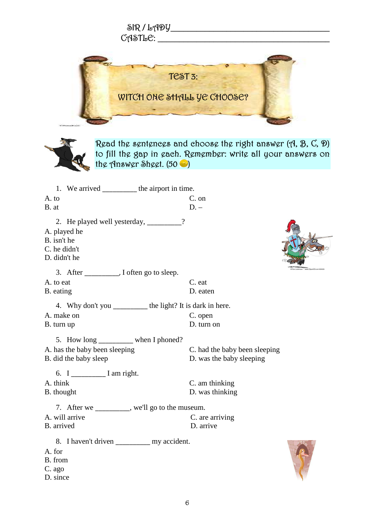|                                                                                                                                                                               | SIR/LADY________________________<br>$C$ ASTLE: $\_\_$     |  |  |
|-------------------------------------------------------------------------------------------------------------------------------------------------------------------------------|-----------------------------------------------------------|--|--|
| TEST 3:<br>WITCH ONE SHALL YE CHOOSE?                                                                                                                                         |                                                           |  |  |
| Read the sentences and choose the right answer $(A, B, C, \mathcal{D})$<br>to fill the gap in each. Remember: write all your answers on<br>the Answer Sheet. $(50 \ \bullet)$ |                                                           |  |  |
| 1. We arrived ____________ the airport in time.<br>A. to<br>B. at                                                                                                             | $C.$ on<br>$D -$                                          |  |  |
| 2. He played well yesterday, ________?<br>A. played he<br>B. isn't he<br>C. he didn't<br>D. didn't he                                                                         |                                                           |  |  |
|                                                                                                                                                                               |                                                           |  |  |
| A. to eat<br>B. eating                                                                                                                                                        | C. eat<br>D. eaten                                        |  |  |
| 4. Why don't you ___________ the light? It is dark in here.                                                                                                                   |                                                           |  |  |
| A. make on<br>B. turn up                                                                                                                                                      | C. open<br>D. turn on                                     |  |  |
| 5. How long _________ when I phoned?                                                                                                                                          |                                                           |  |  |
| A. has the baby been sleeping<br>B. did the baby sleep                                                                                                                        | C. had the baby been sleeping<br>D. was the baby sleeping |  |  |
| 6. $I$ <sub>____________</sub> $I$ am right.                                                                                                                                  |                                                           |  |  |
| A. think<br>B. thought                                                                                                                                                        | C. am thinking<br>D. was thinking                         |  |  |
| 7. After we _________, we'll go to the museum.                                                                                                                                |                                                           |  |  |
| A. will arrive<br>B. arrived                                                                                                                                                  | C. are arriving<br>D. arrive                              |  |  |
| 8. I haven't driven _____________ my accident.<br>A. for<br>B. from<br>C. ago<br>D. since                                                                                     |                                                           |  |  |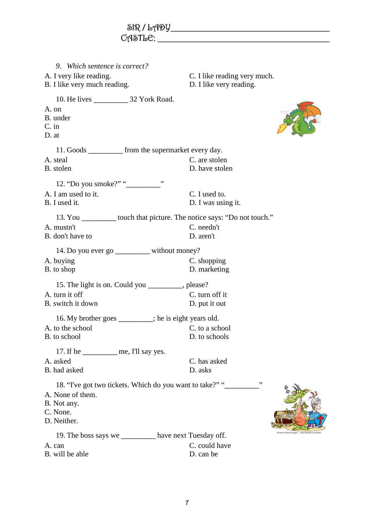$SIR / L19Y$ CASTLE: \_\_\_\_\_\_\_\_\_\_\_\_\_\_\_\_\_\_\_\_\_\_\_\_\_\_\_\_\_\_\_\_\_\_\_\_\_\_\_\_ *9. Which sentence is correct?*  A. I very like reading. C. I like reading very much. B. I like very much reading. D. I like very reading. 10. He lives \_\_\_\_\_\_\_\_\_\_\_\_ 32 York Road. A. on B. under C. in D. at 11. Goods \_\_\_\_\_\_\_\_\_\_ from the supermarket every day.<br>A. steal C. are stole C. are stolen B. stolen D. have stolen 12. "Do you smoke?" "\_\_\_\_\_\_\_\_\_\_" A. I am used to it. C. I used to. B. I used it. D. I was using it. 13. You \_\_\_\_\_\_\_\_\_\_ touch that picture. The notice says: "Do not touch."<br>A mustn't C needn't C. needn't B. don't have to D. aren't 14. Do you ever go \_\_\_\_\_\_\_\_\_ without money?<br>A. buying C. s C. shopping B. to shop D. marketing 15. The light is on. Could you \_\_\_\_\_\_\_\_, please?<br>A turn it off C C. turn off it B. switch it down D. put it out 16. My brother goes \_\_\_\_\_\_\_\_; he is eight years old.<br>  $\Box$  to a school C, to a school A. to the school B. to school D. to schools 17. If he \_\_\_\_\_\_\_\_\_\_ me, I'll say yes.<br>A. asked C. has asked B. had asked D. asks 18. "I've got two tickets. Which do you want to take?" "\_\_\_\_\_\_\_\_\_\_\_\_" A. None of them. B. Not any. C. None. D. Neither. 19. The boss says we \_\_\_\_\_\_\_\_\_\_ have next Tuesday off.<br>A. can C. could have C. could have B. will be able D. can be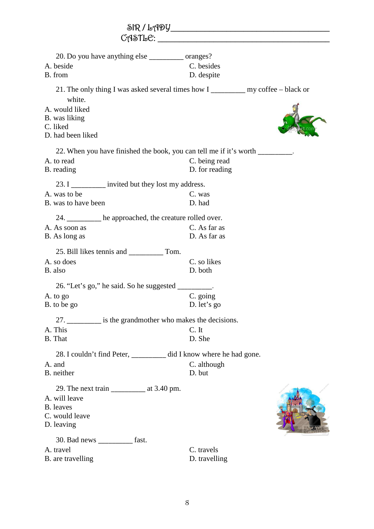|                                                                                                                                                                                | $C \cap \mathcal{S} \cap L$               |
|--------------------------------------------------------------------------------------------------------------------------------------------------------------------------------|-------------------------------------------|
| 20. Do you have anything else _____________ oranges?<br>A. beside<br>B. from                                                                                                   | C. besides<br>D. despite                  |
| 21. The only thing I was asked several times how I my coffee – black or<br>white.<br>A. would liked<br>B. was liking<br>C. liked<br>D. had been liked                          |                                           |
| 22. When you have finished the book, you can tell me if it's worth ________.<br>A. to read<br>B. reading<br>23. I __________ invited but they lost my address.<br>A. was to be | C. being read<br>D. for reading<br>C. was |
| B. was to have been<br>24. _______ he approached, the creature rolled over.<br>A. As soon as<br>B. As long as                                                                  | D. had<br>C. As far as<br>D. As far as    |
| A. so does<br>B. also<br>26. "Let's go," he said. So he suggested _________.                                                                                                   | C. so likes<br>D. both                    |
| A. to go<br>B. to be go                                                                                                                                                        | C. going<br>D. let's go                   |
| 27. is the grandmother who makes the decisions.<br>A. This<br>B. That                                                                                                          | C. It<br>D. She                           |
| 28. I couldn't find Peter, ________ did I know where he had gone.<br>A. and<br>B. neither                                                                                      | C. although<br>D. but                     |
| A. will leave<br><b>B.</b> leaves<br>C. would leave<br>D. leaving                                                                                                              |                                           |
| 30. Bad news ____________ fast.<br>A. travel<br>B. are travelling                                                                                                              | C. travels<br>D. travelling               |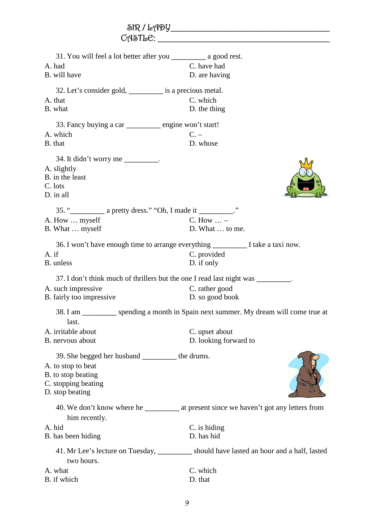| 31. You will feel a lot better after you __________ a good rest.<br>A. had<br>B. will have                                             | C. have had<br>D. are having                                                                                                     |  |
|----------------------------------------------------------------------------------------------------------------------------------------|----------------------------------------------------------------------------------------------------------------------------------|--|
| 32. Let's consider gold, __________ is a precious metal.<br>A. that<br>B. what                                                         | C. which<br>D. the thing                                                                                                         |  |
| 33. Fancy buying a car ________ engine won't start!<br>A. which<br>B. that                                                             | $C -$<br>D. whose                                                                                                                |  |
| 34. It didn't worry me _________.<br>A. slightly<br>B. in the least<br>C. lots<br>D. in all                                            |                                                                                                                                  |  |
| A. How  myself<br>B. What  myself                                                                                                      | C. How $\dots$ –<br>D. What  to me.                                                                                              |  |
| 36. I won't have enough time to arrange everything _______________I take a taxi now.<br>A. if<br>B. unless                             | C. provided<br>D. if only                                                                                                        |  |
| 37. I don't think much of thrillers but the one I read last night was<br>A. such impressive<br>B. fairly too impressive                | C. rather good<br>D. so good book                                                                                                |  |
| last.<br>A. irritable about<br>B. nervous about                                                                                        | 38. I am __________ spending a month in Spain next summer. My dream will come true at<br>C. upset about<br>D. looking forward to |  |
| 39. She begged her husband __________ the drums.<br>A. to stop to beat<br>B. to stop beating<br>C. stopping beating<br>D. stop beating |                                                                                                                                  |  |
| him recently.                                                                                                                          |                                                                                                                                  |  |
| A. hid<br>B. has been hiding                                                                                                           | C. is hiding<br>D. has hid                                                                                                       |  |
| two hours.                                                                                                                             | 41. Mr Lee's lecture on Tuesday, ________ should have lasted an hour and a half, lasted                                          |  |
| A. what<br>B. if which                                                                                                                 | C. which<br>D. that                                                                                                              |  |